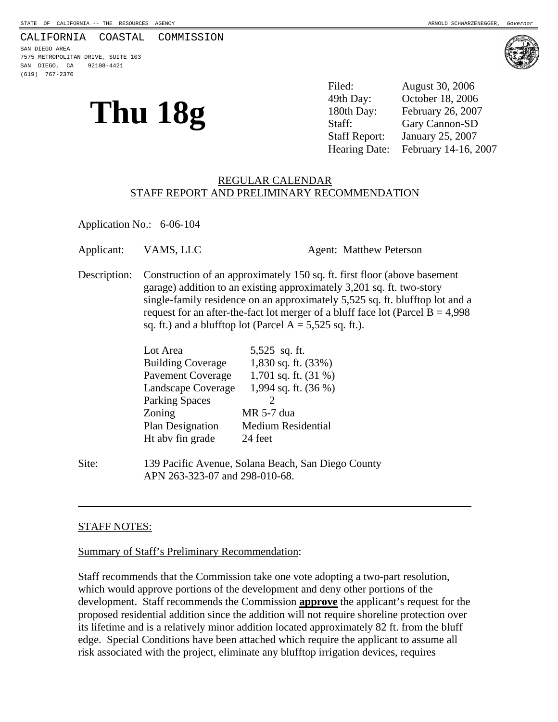#### CALIFORNIA COASTAL COMMISSION

SAN DIEGO AREA 7575 METROPOLITAN DRIVE, SUITE 103 SAN DIEGO, CA 92108-4421 (619) 767-2370

**Thu 18g** <sup>49th Day: October 18, 2006<br>
180th Day: February 26, 2007<br>
Staff: Gary Cannon-SD</sup> Filed: August 30, 2006 49th Day: October 18, 2006 180th Day: February 26, 2007 Staff Report: January 25, 2007 Hearing Date: February 14-16, 2007

#### REGULAR CALENDAR STAFF REPORT AND PRELIMINARY RECOMMENDATION

Application No.: 6-06-104

| Description: | Construction of an approximately 150 sq. ft. first floor (above basement<br>garage) addition to an existing approximately 3,201 sq. ft. two-story<br>single-family residence on an approximately 5,525 sq. ft. blufftop lot and a<br>request for an after-the-fact lot merger of a bluff face lot (Parcel $B = 4,998$<br>sq. ft.) and a blufftop lot (Parcel $A = 5,525$ sq. ft.). |
|--------------|------------------------------------------------------------------------------------------------------------------------------------------------------------------------------------------------------------------------------------------------------------------------------------------------------------------------------------------------------------------------------------|

| Lot Area                 | 5,525 sq. ft.             |
|--------------------------|---------------------------|
| <b>Building Coverage</b> | 1,830 sq. ft. (33%)       |
| <b>Pavement Coverage</b> | 1,701 sq. ft. $(31\%)$    |
| Landscape Coverage       | 1,994 sq. ft. (36 %)      |
| <b>Parking Spaces</b>    |                           |
| Zoning                   | MR 5-7 dua                |
| <b>Plan Designation</b>  | <b>Medium Residential</b> |
| Ht abv fin grade         | 24 feet                   |
|                          |                           |

Site: 139 Pacific Avenue, Solana Beach, San Diego County APN 263-323-07 and 298-010-68.

#### STAFF NOTES:

 $\overline{a}$ 

#### Summary of Staff's Preliminary Recommendation:

Staff recommends that the Commission take one vote adopting a two-part resolution, which would approve portions of the development and deny other portions of the development. Staff recommends the Commission **approve** the applicant's request for the proposed residential addition since the addition will not require shoreline protection over its lifetime and is a relatively minor addition located approximately 82 ft. from the bluff edge. Special Conditions have been attached which require the applicant to assume all risk associated with the project, eliminate any blufftop irrigation devices, requires

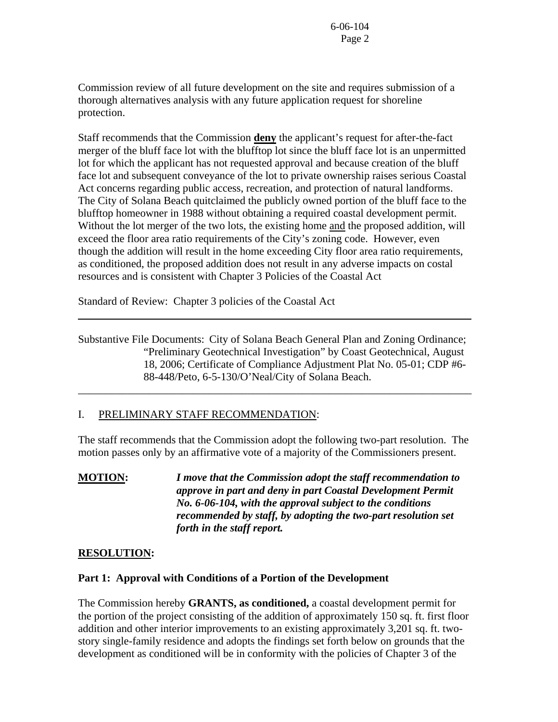Commission review of all future development on the site and requires submission of a thorough alternatives analysis with any future application request for shoreline protection.

Staff recommends that the Commission **deny** the applicant's request for after-the-fact merger of the bluff face lot with the blufftop lot since the bluff face lot is an unpermitted lot for which the applicant has not requested approval and because creation of the bluff face lot and subsequent conveyance of the lot to private ownership raises serious Coastal Act concerns regarding public access, recreation, and protection of natural landforms. The City of Solana Beach quitclaimed the publicly owned portion of the bluff face to the blufftop homeowner in 1988 without obtaining a required coastal development permit. Without the lot merger of the two lots, the existing home and the proposed addition, will exceed the floor area ratio requirements of the City's zoning code. However, even though the addition will result in the home exceeding City floor area ratio requirements, as conditioned, the proposed addition does not result in any adverse impacts on costal resources and is consistent with Chapter 3 Policies of the Coastal Act

Standard of Review: Chapter 3 policies of the Coastal Act

Substantive File Documents: City of Solana Beach General Plan and Zoning Ordinance; "Preliminary Geotechnical Investigation" by Coast Geotechnical, August 18, 2006; Certificate of Compliance Adjustment Plat No. 05-01; CDP #6- 88-448/Peto, 6-5-130/O'Neal/City of Solana Beach.

\_\_\_\_\_\_\_\_\_\_\_\_\_\_\_\_\_\_\_\_\_\_\_\_\_\_\_\_\_\_\_\_\_\_\_\_\_\_\_\_\_\_\_\_\_\_\_\_\_\_\_\_\_\_\_\_\_\_\_\_\_\_\_\_\_\_\_\_\_\_\_\_

# I. PRELIMINARY STAFF RECOMMENDATION:

The staff recommends that the Commission adopt the following two-part resolution. The motion passes only by an affirmative vote of a majority of the Commissioners present.

**MOTION:** *I move that the Commission adopt the staff recommendation to approve in part and deny in part Coastal Development Permit No. 6-06-104, with the approval subject to the conditions recommended by staff, by adopting the two-part resolution set forth in the staff report.*

#### **RESOLUTION:**

 $\overline{a}$ 

#### **Part 1: Approval with Conditions of a Portion of the Development**

The Commission hereby **GRANTS, as conditioned,** a coastal development permit for the portion of the project consisting of the addition of approximately 150 sq. ft. first floor addition and other interior improvements to an existing approximately 3,201 sq. ft. twostory single-family residence and adopts the findings set forth below on grounds that the development as conditioned will be in conformity with the policies of Chapter 3 of the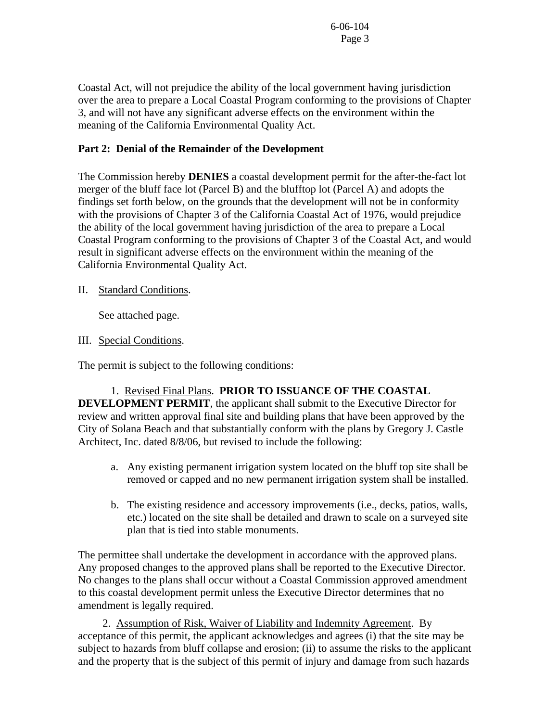Coastal Act, will not prejudice the ability of the local government having jurisdiction over the area to prepare a Local Coastal Program conforming to the provisions of Chapter 3, and will not have any significant adverse effects on the environment within the meaning of the California Environmental Quality Act.

### **Part 2: Denial of the Remainder of the Development**

The Commission hereby **DENIES** a coastal development permit for the after-the-fact lot merger of the bluff face lot (Parcel B) and the blufftop lot (Parcel A) and adopts the findings set forth below, on the grounds that the development will not be in conformity with the provisions of Chapter 3 of the California Coastal Act of 1976, would prejudice the ability of the local government having jurisdiction of the area to prepare a Local Coastal Program conforming to the provisions of Chapter 3 of the Coastal Act, and would result in significant adverse effects on the environment within the meaning of the California Environmental Quality Act.

#### II. Standard Conditions.

See attached page.

#### III. Special Conditions.

The permit is subject to the following conditions:

 1. Revised Final Plans. **PRIOR TO ISSUANCE OF THE COASTAL DEVELOPMENT PERMIT**, the applicant shall submit to the Executive Director for review and written approval final site and building plans that have been approved by the City of Solana Beach and that substantially conform with the plans by Gregory J. Castle Architect, Inc. dated 8/8/06, but revised to include the following:

- a. Any existing permanent irrigation system located on the bluff top site shall be removed or capped and no new permanent irrigation system shall be installed.
- b. The existing residence and accessory improvements (i.e., decks, patios, walls, etc.) located on the site shall be detailed and drawn to scale on a surveyed site plan that is tied into stable monuments.

The permittee shall undertake the development in accordance with the approved plans. Any proposed changes to the approved plans shall be reported to the Executive Director. No changes to the plans shall occur without a Coastal Commission approved amendment to this coastal development permit unless the Executive Director determines that no amendment is legally required.

2.Assumption of Risk, Waiver of Liability and Indemnity Agreement. By acceptance of this permit, the applicant acknowledges and agrees (i) that the site may be subject to hazards from bluff collapse and erosion; (ii) to assume the risks to the applicant and the property that is the subject of this permit of injury and damage from such hazards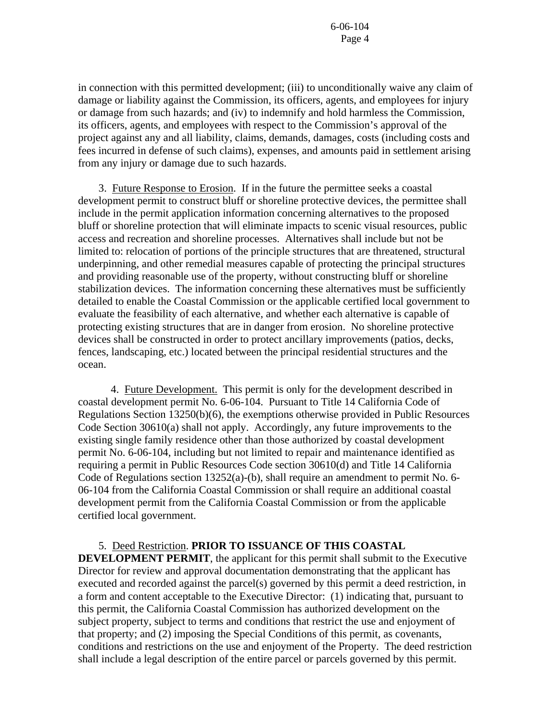in connection with this permitted development; (iii) to unconditionally waive any claim of damage or liability against the Commission, its officers, agents, and employees for injury or damage from such hazards; and (iv) to indemnify and hold harmless the Commission, its officers, agents, and employees with respect to the Commission's approval of the project against any and all liability, claims, demands, damages, costs (including costs and fees incurred in defense of such claims), expenses, and amounts paid in settlement arising from any injury or damage due to such hazards.

 3. Future Response to Erosion. If in the future the permittee seeks a coastal development permit to construct bluff or shoreline protective devices, the permittee shall include in the permit application information concerning alternatives to the proposed bluff or shoreline protection that will eliminate impacts to scenic visual resources, public access and recreation and shoreline processes. Alternatives shall include but not be limited to: relocation of portions of the principle structures that are threatened, structural underpinning, and other remedial measures capable of protecting the principal structures and providing reasonable use of the property, without constructing bluff or shoreline stabilization devices. The information concerning these alternatives must be sufficiently detailed to enable the Coastal Commission or the applicable certified local government to evaluate the feasibility of each alternative, and whether each alternative is capable of protecting existing structures that are in danger from erosion. No shoreline protective devices shall be constructed in order to protect ancillary improvements (patios, decks, fences, landscaping, etc.) located between the principal residential structures and the ocean.

 4. Future Development. This permit is only for the development described in coastal development permit No. 6-06-104. Pursuant to Title 14 California Code of Regulations Section 13250(b)(6), the exemptions otherwise provided in Public Resources Code Section 30610(a) shall not apply. Accordingly, any future improvements to the existing single family residence other than those authorized by coastal development permit No. 6-06-104, including but not limited to repair and maintenance identified as requiring a permit in Public Resources Code section 30610(d) and Title 14 California Code of Regulations section 13252(a)-(b), shall require an amendment to permit No. 6- 06-104 from the California Coastal Commission or shall require an additional coastal development permit from the California Coastal Commission or from the applicable certified local government.

#### 5. Deed Restriction. **PRIOR TO ISSUANCE OF THIS COASTAL**

**DEVELOPMENT PERMIT**, the applicant for this permit shall submit to the Executive Director for review and approval documentation demonstrating that the applicant has executed and recorded against the parcel(s) governed by this permit a deed restriction, in a form and content acceptable to the Executive Director: (1) indicating that, pursuant to this permit, the California Coastal Commission has authorized development on the subject property, subject to terms and conditions that restrict the use and enjoyment of that property; and (2) imposing the Special Conditions of this permit, as covenants, conditions and restrictions on the use and enjoyment of the Property. The deed restriction shall include a legal description of the entire parcel or parcels governed by this permit.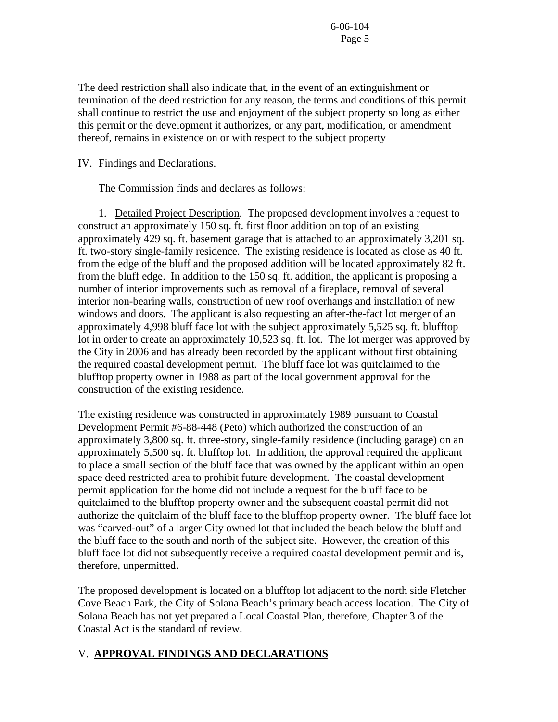The deed restriction shall also indicate that, in the event of an extinguishment or termination of the deed restriction for any reason, the terms and conditions of this permit shall continue to restrict the use and enjoyment of the subject property so long as either this permit or the development it authorizes, or any part, modification, or amendment thereof, remains in existence on or with respect to the subject property

#### IV. Findings and Declarations.

The Commission finds and declares as follows:

 1. Detailed Project Description. The proposed development involves a request to construct an approximately 150 sq. ft. first floor addition on top of an existing approximately 429 sq. ft. basement garage that is attached to an approximately 3,201 sq. ft. two-story single-family residence. The existing residence is located as close as 40 ft. from the edge of the bluff and the proposed addition will be located approximately 82 ft. from the bluff edge. In addition to the 150 sq. ft. addition, the applicant is proposing a number of interior improvements such as removal of a fireplace, removal of several interior non-bearing walls, construction of new roof overhangs and installation of new windows and doors. The applicant is also requesting an after-the-fact lot merger of an approximately 4,998 bluff face lot with the subject approximately 5,525 sq. ft. blufftop lot in order to create an approximately 10,523 sq. ft. lot. The lot merger was approved by the City in 2006 and has already been recorded by the applicant without first obtaining the required coastal development permit. The bluff face lot was quitclaimed to the blufftop property owner in 1988 as part of the local government approval for the construction of the existing residence.

The existing residence was constructed in approximately 1989 pursuant to Coastal Development Permit #6-88-448 (Peto) which authorized the construction of an approximately 3,800 sq. ft. three-story, single-family residence (including garage) on an approximately 5,500 sq. ft. blufftop lot. In addition, the approval required the applicant to place a small section of the bluff face that was owned by the applicant within an open space deed restricted area to prohibit future development. The coastal development permit application for the home did not include a request for the bluff face to be quitclaimed to the blufftop property owner and the subsequent coastal permit did not authorize the quitclaim of the bluff face to the blufftop property owner. The bluff face lot was "carved-out" of a larger City owned lot that included the beach below the bluff and the bluff face to the south and north of the subject site. However, the creation of this bluff face lot did not subsequently receive a required coastal development permit and is, therefore, unpermitted.

The proposed development is located on a blufftop lot adjacent to the north side Fletcher Cove Beach Park, the City of Solana Beach's primary beach access location. The City of Solana Beach has not yet prepared a Local Coastal Plan, therefore, Chapter 3 of the Coastal Act is the standard of review.

# V. **APPROVAL FINDINGS AND DECLARATIONS**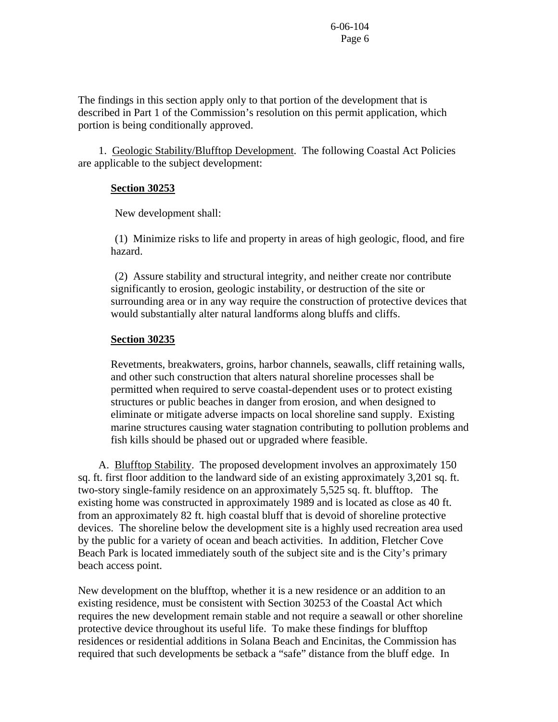The findings in this section apply only to that portion of the development that is described in Part 1 of the Commission's resolution on this permit application, which portion is being conditionally approved.

 1. Geologic Stability/Blufftop Development. The following Coastal Act Policies are applicable to the subject development:

#### **Section 30253**

New development shall:

 (1) Minimize risks to life and property in areas of high geologic, flood, and fire hazard.

 (2) Assure stability and structural integrity, and neither create nor contribute significantly to erosion, geologic instability, or destruction of the site or surrounding area or in any way require the construction of protective devices that would substantially alter natural landforms along bluffs and cliffs.

# **Section 30235**

Revetments, breakwaters, groins, harbor channels, seawalls, cliff retaining walls, and other such construction that alters natural shoreline processes shall be permitted when required to serve coastal-dependent uses or to protect existing structures or public beaches in danger from erosion, and when designed to eliminate or mitigate adverse impacts on local shoreline sand supply. Existing marine structures causing water stagnation contributing to pollution problems and fish kills should be phased out or upgraded where feasible.

 A. Blufftop Stability. The proposed development involves an approximately 150 sq. ft. first floor addition to the landward side of an existing approximately 3,201 sq. ft. two-story single-family residence on an approximately 5,525 sq. ft. blufftop. The existing home was constructed in approximately 1989 and is located as close as 40 ft. from an approximately 82 ft. high coastal bluff that is devoid of shoreline protective devices. The shoreline below the development site is a highly used recreation area used by the public for a variety of ocean and beach activities. In addition, Fletcher Cove Beach Park is located immediately south of the subject site and is the City's primary beach access point.

New development on the blufftop, whether it is a new residence or an addition to an existing residence, must be consistent with Section 30253 of the Coastal Act which requires the new development remain stable and not require a seawall or other shoreline protective device throughout its useful life. To make these findings for blufftop residences or residential additions in Solana Beach and Encinitas, the Commission has required that such developments be setback a "safe" distance from the bluff edge. In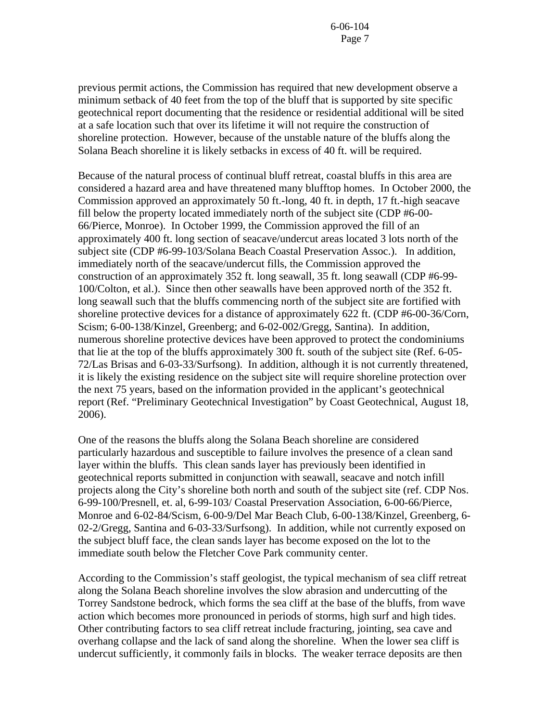previous permit actions, the Commission has required that new development observe a minimum setback of 40 feet from the top of the bluff that is supported by site specific geotechnical report documenting that the residence or residential additional will be sited at a safe location such that over its lifetime it will not require the construction of shoreline protection. However, because of the unstable nature of the bluffs along the Solana Beach shoreline it is likely setbacks in excess of 40 ft. will be required.

Because of the natural process of continual bluff retreat, coastal bluffs in this area are considered a hazard area and have threatened many blufftop homes. In October 2000, the Commission approved an approximately 50 ft.-long, 40 ft. in depth, 17 ft.-high seacave fill below the property located immediately north of the subject site (CDP #6-00- 66/Pierce, Monroe). In October 1999, the Commission approved the fill of an approximately 400 ft. long section of seacave/undercut areas located 3 lots north of the subject site (CDP #6-99-103/Solana Beach Coastal Preservation Assoc.). In addition, immediately north of the seacave/undercut fills, the Commission approved the construction of an approximately 352 ft. long seawall, 35 ft. long seawall (CDP #6-99- 100/Colton, et al.). Since then other seawalls have been approved north of the 352 ft. long seawall such that the bluffs commencing north of the subject site are fortified with shoreline protective devices for a distance of approximately 622 ft. (CDP #6-00-36/Corn, Scism; 6-00-138/Kinzel, Greenberg; and 6-02-002/Gregg, Santina). In addition, numerous shoreline protective devices have been approved to protect the condominiums that lie at the top of the bluffs approximately 300 ft. south of the subject site (Ref. 6-05- 72/Las Brisas and 6-03-33/Surfsong). In addition, although it is not currently threatened, it is likely the existing residence on the subject site will require shoreline protection over the next 75 years, based on the information provided in the applicant's geotechnical report (Ref. "Preliminary Geotechnical Investigation" by Coast Geotechnical, August 18, 2006).

One of the reasons the bluffs along the Solana Beach shoreline are considered particularly hazardous and susceptible to failure involves the presence of a clean sand layer within the bluffs. This clean sands layer has previously been identified in geotechnical reports submitted in conjunction with seawall, seacave and notch infill projects along the City's shoreline both north and south of the subject site (ref. CDP Nos. 6-99-100/Presnell, et. al, 6-99-103/ Coastal Preservation Association, 6-00-66/Pierce, Monroe and 6-02-84/Scism, 6-00-9/Del Mar Beach Club, 6-00-138/Kinzel, Greenberg, 6- 02-2/Gregg, Santina and 6-03-33/Surfsong). In addition, while not currently exposed on the subject bluff face, the clean sands layer has become exposed on the lot to the immediate south below the Fletcher Cove Park community center.

According to the Commission's staff geologist, the typical mechanism of sea cliff retreat along the Solana Beach shoreline involves the slow abrasion and undercutting of the Torrey Sandstone bedrock, which forms the sea cliff at the base of the bluffs, from wave action which becomes more pronounced in periods of storms, high surf and high tides. Other contributing factors to sea cliff retreat include fracturing, jointing, sea cave and overhang collapse and the lack of sand along the shoreline. When the lower sea cliff is undercut sufficiently, it commonly fails in blocks. The weaker terrace deposits are then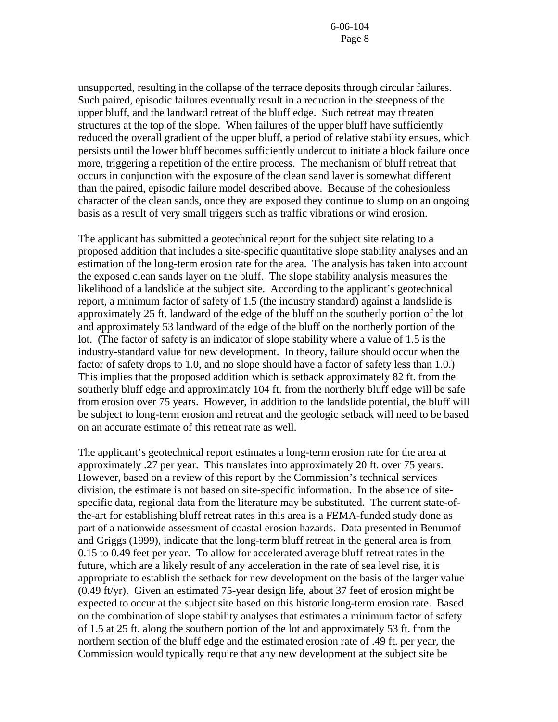unsupported, resulting in the collapse of the terrace deposits through circular failures. Such paired, episodic failures eventually result in a reduction in the steepness of the upper bluff, and the landward retreat of the bluff edge. Such retreat may threaten structures at the top of the slope. When failures of the upper bluff have sufficiently reduced the overall gradient of the upper bluff, a period of relative stability ensues, which persists until the lower bluff becomes sufficiently undercut to initiate a block failure once more, triggering a repetition of the entire process. The mechanism of bluff retreat that occurs in conjunction with the exposure of the clean sand layer is somewhat different than the paired, episodic failure model described above. Because of the cohesionless character of the clean sands, once they are exposed they continue to slump on an ongoing basis as a result of very small triggers such as traffic vibrations or wind erosion.

The applicant has submitted a geotechnical report for the subject site relating to a proposed addition that includes a site-specific quantitative slope stability analyses and an estimation of the long-term erosion rate for the area. The analysis has taken into account the exposed clean sands layer on the bluff. The slope stability analysis measures the likelihood of a landslide at the subject site. According to the applicant's geotechnical report, a minimum factor of safety of 1.5 (the industry standard) against a landslide is approximately 25 ft. landward of the edge of the bluff on the southerly portion of the lot and approximately 53 landward of the edge of the bluff on the northerly portion of the lot. (The factor of safety is an indicator of slope stability where a value of 1.5 is the industry-standard value for new development. In theory, failure should occur when the factor of safety drops to 1.0, and no slope should have a factor of safety less than 1.0.) This implies that the proposed addition which is setback approximately 82 ft. from the southerly bluff edge and approximately 104 ft. from the northerly bluff edge will be safe from erosion over 75 years. However, in addition to the landslide potential, the bluff will be subject to long-term erosion and retreat and the geologic setback will need to be based on an accurate estimate of this retreat rate as well.

The applicant's geotechnical report estimates a long-term erosion rate for the area at approximately .27 per year. This translates into approximately 20 ft. over 75 years. However, based on a review of this report by the Commission's technical services division, the estimate is not based on site-specific information. In the absence of sitespecific data, regional data from the literature may be substituted. The current state-ofthe-art for establishing bluff retreat rates in this area is a FEMA-funded study done as part of a nationwide assessment of coastal erosion hazards. Data presented in Benumof and Griggs (1999), indicate that the long-term bluff retreat in the general area is from 0.15 to 0.49 feet per year. To allow for accelerated average bluff retreat rates in the future, which are a likely result of any acceleration in the rate of sea level rise, it is appropriate to establish the setback for new development on the basis of the larger value (0.49 ft/yr). Given an estimated 75-year design life, about 37 feet of erosion might be expected to occur at the subject site based on this historic long-term erosion rate. Based on the combination of slope stability analyses that estimates a minimum factor of safety of 1.5 at 25 ft. along the southern portion of the lot and approximately 53 ft. from the northern section of the bluff edge and the estimated erosion rate of .49 ft. per year, the Commission would typically require that any new development at the subject site be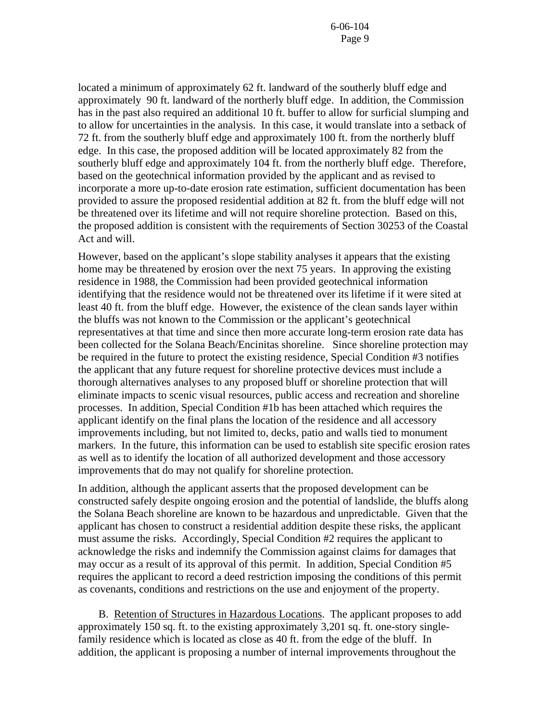located a minimum of approximately 62 ft. landward of the southerly bluff edge and approximately 90 ft. landward of the northerly bluff edge. In addition, the Commission has in the past also required an additional 10 ft. buffer to allow for surficial slumping and to allow for uncertainties in the analysis. In this case, it would translate into a setback of 72 ft. from the southerly bluff edge and approximately 100 ft. from the northerly bluff edge. In this case, the proposed addition will be located approximately 82 from the southerly bluff edge and approximately 104 ft. from the northerly bluff edge. Therefore, based on the geotechnical information provided by the applicant and as revised to incorporate a more up-to-date erosion rate estimation, sufficient documentation has been provided to assure the proposed residential addition at 82 ft. from the bluff edge will not be threatened over its lifetime and will not require shoreline protection. Based on this, the proposed addition is consistent with the requirements of Section 30253 of the Coastal Act and will.

However, based on the applicant's slope stability analyses it appears that the existing home may be threatened by erosion over the next 75 years. In approving the existing residence in 1988, the Commission had been provided geotechnical information identifying that the residence would not be threatened over its lifetime if it were sited at least 40 ft. from the bluff edge. However, the existence of the clean sands layer within the bluffs was not known to the Commission or the applicant's geotechnical representatives at that time and since then more accurate long-term erosion rate data has been collected for the Solana Beach/Encinitas shoreline. Since shoreline protection may be required in the future to protect the existing residence, Special Condition #3 notifies the applicant that any future request for shoreline protective devices must include a thorough alternatives analyses to any proposed bluff or shoreline protection that will eliminate impacts to scenic visual resources, public access and recreation and shoreline processes. In addition, Special Condition #1b has been attached which requires the applicant identify on the final plans the location of the residence and all accessory improvements including, but not limited to, decks, patio and walls tied to monument markers. In the future, this information can be used to establish site specific erosion rates as well as to identify the location of all authorized development and those accessory improvements that do may not qualify for shoreline protection.

In addition, although the applicant asserts that the proposed development can be constructed safely despite ongoing erosion and the potential of landslide, the bluffs along the Solana Beach shoreline are known to be hazardous and unpredictable. Given that the applicant has chosen to construct a residential addition despite these risks, the applicant must assume the risks. Accordingly, Special Condition #2 requires the applicant to acknowledge the risks and indemnify the Commission against claims for damages that may occur as a result of its approval of this permit. In addition, Special Condition #5 requires the applicant to record a deed restriction imposing the conditions of this permit as covenants, conditions and restrictions on the use and enjoyment of the property.

 B. Retention of Structures in Hazardous Locations. The applicant proposes to add approximately 150 sq. ft. to the existing approximately 3,201 sq. ft. one-story singlefamily residence which is located as close as 40 ft. from the edge of the bluff. In addition, the applicant is proposing a number of internal improvements throughout the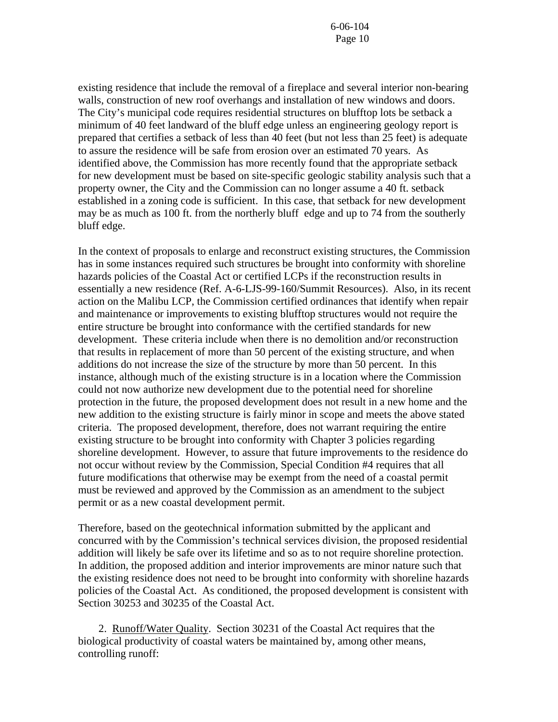existing residence that include the removal of a fireplace and several interior non-bearing walls, construction of new roof overhangs and installation of new windows and doors. The City's municipal code requires residential structures on blufftop lots be setback a minimum of 40 feet landward of the bluff edge unless an engineering geology report is prepared that certifies a setback of less than 40 feet (but not less than 25 feet) is adequate to assure the residence will be safe from erosion over an estimated 70 years. As identified above, the Commission has more recently found that the appropriate setback for new development must be based on site-specific geologic stability analysis such that a property owner, the City and the Commission can no longer assume a 40 ft. setback established in a zoning code is sufficient. In this case, that setback for new development may be as much as 100 ft. from the northerly bluff edge and up to 74 from the southerly bluff edge.

In the context of proposals to enlarge and reconstruct existing structures, the Commission has in some instances required such structures be brought into conformity with shoreline hazards policies of the Coastal Act or certified LCPs if the reconstruction results in essentially a new residence (Ref. A-6-LJS-99-160/Summit Resources). Also, in its recent action on the Malibu LCP, the Commission certified ordinances that identify when repair and maintenance or improvements to existing blufftop structures would not require the entire structure be brought into conformance with the certified standards for new development. These criteria include when there is no demolition and/or reconstruction that results in replacement of more than 50 percent of the existing structure, and when additions do not increase the size of the structure by more than 50 percent. In this instance, although much of the existing structure is in a location where the Commission could not now authorize new development due to the potential need for shoreline protection in the future, the proposed development does not result in a new home and the new addition to the existing structure is fairly minor in scope and meets the above stated criteria. The proposed development, therefore, does not warrant requiring the entire existing structure to be brought into conformity with Chapter 3 policies regarding shoreline development. However, to assure that future improvements to the residence do not occur without review by the Commission, Special Condition #4 requires that all future modifications that otherwise may be exempt from the need of a coastal permit must be reviewed and approved by the Commission as an amendment to the subject permit or as a new coastal development permit.

Therefore, based on the geotechnical information submitted by the applicant and concurred with by the Commission's technical services division, the proposed residential addition will likely be safe over its lifetime and so as to not require shoreline protection. In addition, the proposed addition and interior improvements are minor nature such that the existing residence does not need to be brought into conformity with shoreline hazards policies of the Coastal Act. As conditioned, the proposed development is consistent with Section 30253 and 30235 of the Coastal Act.

 2. Runoff/Water Quality. Section 30231 of the Coastal Act requires that the biological productivity of coastal waters be maintained by, among other means, controlling runoff: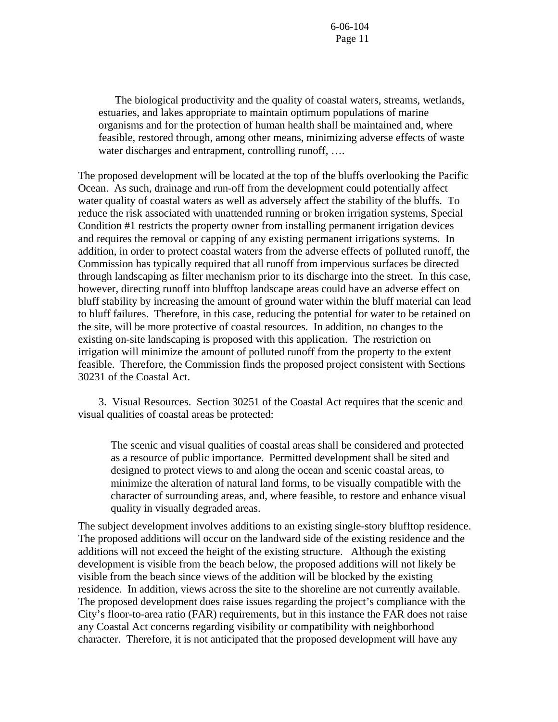The biological productivity and the quality of coastal waters, streams, wetlands, estuaries, and lakes appropriate to maintain optimum populations of marine organisms and for the protection of human health shall be maintained and, where feasible, restored through, among other means, minimizing adverse effects of waste water discharges and entrapment, controlling runoff, ....

The proposed development will be located at the top of the bluffs overlooking the Pacific Ocean. As such, drainage and run-off from the development could potentially affect water quality of coastal waters as well as adversely affect the stability of the bluffs. To reduce the risk associated with unattended running or broken irrigation systems, Special Condition #1 restricts the property owner from installing permanent irrigation devices and requires the removal or capping of any existing permanent irrigations systems. In addition, in order to protect coastal waters from the adverse effects of polluted runoff, the Commission has typically required that all runoff from impervious surfaces be directed through landscaping as filter mechanism prior to its discharge into the street. In this case, however, directing runoff into blufftop landscape areas could have an adverse effect on bluff stability by increasing the amount of ground water within the bluff material can lead to bluff failures. Therefore, in this case, reducing the potential for water to be retained on the site, will be more protective of coastal resources. In addition, no changes to the existing on-site landscaping is proposed with this application. The restriction on irrigation will minimize the amount of polluted runoff from the property to the extent feasible. Therefore, the Commission finds the proposed project consistent with Sections 30231 of the Coastal Act.

 3. Visual Resources. Section 30251 of the Coastal Act requires that the scenic and visual qualities of coastal areas be protected:

The scenic and visual qualities of coastal areas shall be considered and protected as a resource of public importance. Permitted development shall be sited and designed to protect views to and along the ocean and scenic coastal areas, to minimize the alteration of natural land forms, to be visually compatible with the character of surrounding areas, and, where feasible, to restore and enhance visual quality in visually degraded areas.

The subject development involves additions to an existing single-story blufftop residence. The proposed additions will occur on the landward side of the existing residence and the additions will not exceed the height of the existing structure. Although the existing development is visible from the beach below, the proposed additions will not likely be visible from the beach since views of the addition will be blocked by the existing residence. In addition, views across the site to the shoreline are not currently available. The proposed development does raise issues regarding the project's compliance with the City's floor-to-area ratio (FAR) requirements, but in this instance the FAR does not raise any Coastal Act concerns regarding visibility or compatibility with neighborhood character. Therefore, it is not anticipated that the proposed development will have any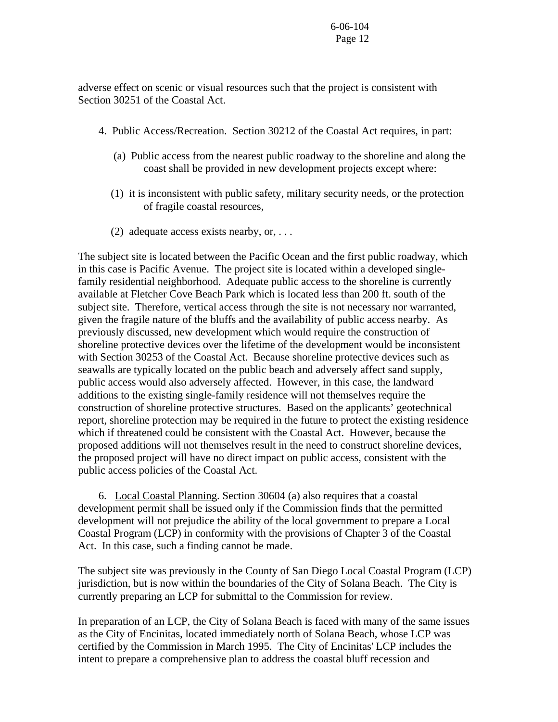adverse effect on scenic or visual resources such that the project is consistent with Section 30251 of the Coastal Act.

- 4. Public Access/Recreation. Section 30212 of the Coastal Act requires, in part:
	- (a) Public access from the nearest public roadway to the shoreline and along the coast shall be provided in new development projects except where:
	- (1) it is inconsistent with public safety, military security needs, or the protection of fragile coastal resources,
	- (2) adequate access exists nearby, or,  $\dots$

The subject site is located between the Pacific Ocean and the first public roadway, which in this case is Pacific Avenue. The project site is located within a developed singlefamily residential neighborhood. Adequate public access to the shoreline is currently available at Fletcher Cove Beach Park which is located less than 200 ft. south of the subject site. Therefore, vertical access through the site is not necessary nor warranted, given the fragile nature of the bluffs and the availability of public access nearby. As previously discussed, new development which would require the construction of shoreline protective devices over the lifetime of the development would be inconsistent with Section 30253 of the Coastal Act. Because shoreline protective devices such as seawalls are typically located on the public beach and adversely affect sand supply, public access would also adversely affected. However, in this case, the landward additions to the existing single-family residence will not themselves require the construction of shoreline protective structures. Based on the applicants' geotechnical report, shoreline protection may be required in the future to protect the existing residence which if threatened could be consistent with the Coastal Act. However, because the proposed additions will not themselves result in the need to construct shoreline devices, the proposed project will have no direct impact on public access, consistent with the public access policies of the Coastal Act.

 6. Local Coastal Planning. Section 30604 (a) also requires that a coastal development permit shall be issued only if the Commission finds that the permitted development will not prejudice the ability of the local government to prepare a Local Coastal Program (LCP) in conformity with the provisions of Chapter 3 of the Coastal Act. In this case, such a finding cannot be made.

The subject site was previously in the County of San Diego Local Coastal Program (LCP) jurisdiction, but is now within the boundaries of the City of Solana Beach. The City is currently preparing an LCP for submittal to the Commission for review.

In preparation of an LCP, the City of Solana Beach is faced with many of the same issues as the City of Encinitas, located immediately north of Solana Beach, whose LCP was certified by the Commission in March 1995. The City of Encinitas' LCP includes the intent to prepare a comprehensive plan to address the coastal bluff recession and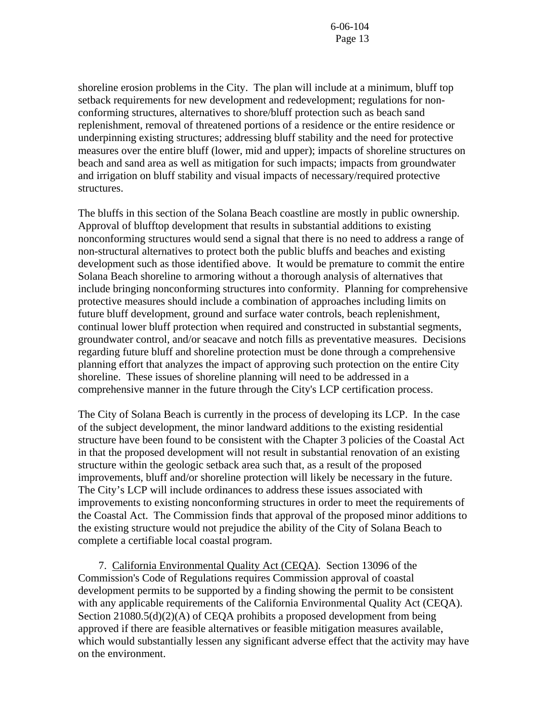shoreline erosion problems in the City. The plan will include at a minimum, bluff top setback requirements for new development and redevelopment; regulations for nonconforming structures, alternatives to shore/bluff protection such as beach sand replenishment, removal of threatened portions of a residence or the entire residence or underpinning existing structures; addressing bluff stability and the need for protective measures over the entire bluff (lower, mid and upper); impacts of shoreline structures on beach and sand area as well as mitigation for such impacts; impacts from groundwater and irrigation on bluff stability and visual impacts of necessary/required protective structures.

The bluffs in this section of the Solana Beach coastline are mostly in public ownership. Approval of blufftop development that results in substantial additions to existing nonconforming structures would send a signal that there is no need to address a range of non-structural alternatives to protect both the public bluffs and beaches and existing development such as those identified above. It would be premature to commit the entire Solana Beach shoreline to armoring without a thorough analysis of alternatives that include bringing nonconforming structures into conformity. Planning for comprehensive protective measures should include a combination of approaches including limits on future bluff development, ground and surface water controls, beach replenishment, continual lower bluff protection when required and constructed in substantial segments, groundwater control, and/or seacave and notch fills as preventative measures. Decisions regarding future bluff and shoreline protection must be done through a comprehensive planning effort that analyzes the impact of approving such protection on the entire City shoreline. These issues of shoreline planning will need to be addressed in a comprehensive manner in the future through the City's LCP certification process.

The City of Solana Beach is currently in the process of developing its LCP. In the case of the subject development, the minor landward additions to the existing residential structure have been found to be consistent with the Chapter 3 policies of the Coastal Act in that the proposed development will not result in substantial renovation of an existing structure within the geologic setback area such that, as a result of the proposed improvements, bluff and/or shoreline protection will likely be necessary in the future. The City's LCP will include ordinances to address these issues associated with improvements to existing nonconforming structures in order to meet the requirements of the Coastal Act. The Commission finds that approval of the proposed minor additions to the existing structure would not prejudice the ability of the City of Solana Beach to complete a certifiable local coastal program.

 7. California Environmental Quality Act (CEQA). Section 13096 of the Commission's Code of Regulations requires Commission approval of coastal development permits to be supported by a finding showing the permit to be consistent with any applicable requirements of the California Environmental Quality Act (CEQA). Section 21080.5(d)(2)(A) of CEQA prohibits a proposed development from being approved if there are feasible alternatives or feasible mitigation measures available, which would substantially lessen any significant adverse effect that the activity may have on the environment.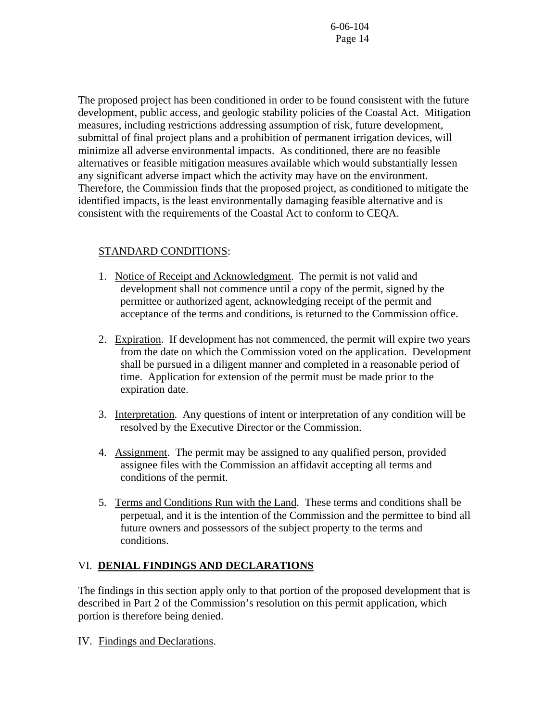The proposed project has been conditioned in order to be found consistent with the future development, public access, and geologic stability policies of the Coastal Act. Mitigation measures, including restrictions addressing assumption of risk, future development, submittal of final project plans and a prohibition of permanent irrigation devices, will minimize all adverse environmental impacts. As conditioned, there are no feasible alternatives or feasible mitigation measures available which would substantially lessen any significant adverse impact which the activity may have on the environment. Therefore, the Commission finds that the proposed project, as conditioned to mitigate the identified impacts, is the least environmentally damaging feasible alternative and is consistent with the requirements of the Coastal Act to conform to CEQA.

# STANDARD CONDITIONS:

- 1. Notice of Receipt and Acknowledgment. The permit is not valid and development shall not commence until a copy of the permit, signed by the permittee or authorized agent, acknowledging receipt of the permit and acceptance of the terms and conditions, is returned to the Commission office.
- 2. Expiration. If development has not commenced, the permit will expire two years from the date on which the Commission voted on the application. Development shall be pursued in a diligent manner and completed in a reasonable period of time. Application for extension of the permit must be made prior to the expiration date.
- 3. Interpretation. Any questions of intent or interpretation of any condition will be resolved by the Executive Director or the Commission.
- 4. Assignment. The permit may be assigned to any qualified person, provided assignee files with the Commission an affidavit accepting all terms and conditions of the permit.
- 5. Terms and Conditions Run with the Land. These terms and conditions shall be perpetual, and it is the intention of the Commission and the permittee to bind all future owners and possessors of the subject property to the terms and conditions.

# VI. **DENIAL FINDINGS AND DECLARATIONS**

The findings in this section apply only to that portion of the proposed development that is described in Part 2 of the Commission's resolution on this permit application, which portion is therefore being denied.

IV. Findings and Declarations.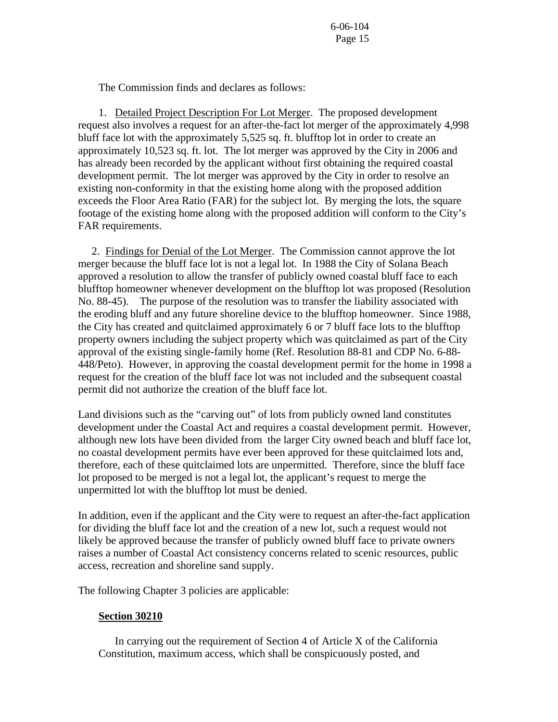The Commission finds and declares as follows:

 1. Detailed Project Description For Lot Merger. The proposed development request also involves a request for an after-the-fact lot merger of the approximately 4,998 bluff face lot with the approximately 5,525 sq. ft. blufftop lot in order to create an approximately 10,523 sq. ft. lot. The lot merger was approved by the City in 2006 and has already been recorded by the applicant without first obtaining the required coastal development permit. The lot merger was approved by the City in order to resolve an existing non-conformity in that the existing home along with the proposed addition exceeds the Floor Area Ratio (FAR) for the subject lot. By merging the lots, the square footage of the existing home along with the proposed addition will conform to the City's FAR requirements.

 2. Findings for Denial of the Lot Merger. The Commission cannot approve the lot merger because the bluff face lot is not a legal lot. In 1988 the City of Solana Beach approved a resolution to allow the transfer of publicly owned coastal bluff face to each blufftop homeowner whenever development on the blufftop lot was proposed (Resolution No. 88-45). The purpose of the resolution was to transfer the liability associated with the eroding bluff and any future shoreline device to the blufftop homeowner. Since 1988, the City has created and quitclaimed approximately 6 or 7 bluff face lots to the blufftop property owners including the subject property which was quitclaimed as part of the City approval of the existing single-family home (Ref. Resolution 88-81 and CDP No. 6-88- 448/Peto). However, in approving the coastal development permit for the home in 1998 a request for the creation of the bluff face lot was not included and the subsequent coastal permit did not authorize the creation of the bluff face lot.

Land divisions such as the "carving out" of lots from publicly owned land constitutes development under the Coastal Act and requires a coastal development permit. However, although new lots have been divided from the larger City owned beach and bluff face lot, no coastal development permits have ever been approved for these quitclaimed lots and, therefore, each of these quitclaimed lots are unpermitted. Therefore, since the bluff face lot proposed to be merged is not a legal lot, the applicant's request to merge the unpermitted lot with the blufftop lot must be denied.

In addition, even if the applicant and the City were to request an after-the-fact application for dividing the bluff face lot and the creation of a new lot, such a request would not likely be approved because the transfer of publicly owned bluff face to private owners raises a number of Coastal Act consistency concerns related to scenic resources, public access, recreation and shoreline sand supply.

The following Chapter 3 policies are applicable:

#### **Section 30210**

 In carrying out the requirement of Section 4 of Article X of the California Constitution, maximum access, which shall be conspicuously posted, and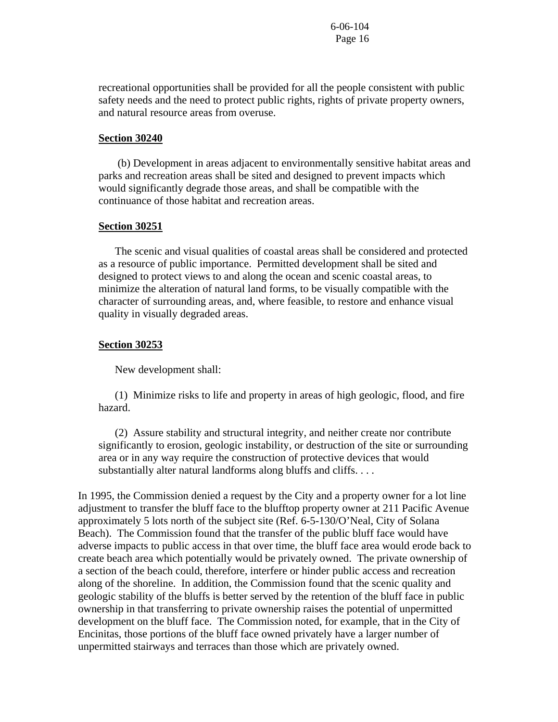recreational opportunities shall be provided for all the people consistent with public safety needs and the need to protect public rights, rights of private property owners, and natural resource areas from overuse.

#### **Section 30240**

 (b) Development in areas adjacent to environmentally sensitive habitat areas and parks and recreation areas shall be sited and designed to prevent impacts which would significantly degrade those areas, and shall be compatible with the continuance of those habitat and recreation areas.

#### **Section 30251**

 The scenic and visual qualities of coastal areas shall be considered and protected as a resource of public importance. Permitted development shall be sited and designed to protect views to and along the ocean and scenic coastal areas, to minimize the alteration of natural land forms, to be visually compatible with the character of surrounding areas, and, where feasible, to restore and enhance visual quality in visually degraded areas.

#### **Section 30253**

New development shall:

 (1) Minimize risks to life and property in areas of high geologic, flood, and fire hazard.

 (2) Assure stability and structural integrity, and neither create nor contribute significantly to erosion, geologic instability, or destruction of the site or surrounding area or in any way require the construction of protective devices that would substantially alter natural landforms along bluffs and cliffs. . . .

In 1995, the Commission denied a request by the City and a property owner for a lot line adjustment to transfer the bluff face to the blufftop property owner at 211 Pacific Avenue approximately 5 lots north of the subject site (Ref. 6-5-130/O'Neal, City of Solana Beach). The Commission found that the transfer of the public bluff face would have adverse impacts to public access in that over time, the bluff face area would erode back to create beach area which potentially would be privately owned. The private ownership of a section of the beach could, therefore, interfere or hinder public access and recreation along of the shoreline. In addition, the Commission found that the scenic quality and geologic stability of the bluffs is better served by the retention of the bluff face in public ownership in that transferring to private ownership raises the potential of unpermitted development on the bluff face. The Commission noted, for example, that in the City of Encinitas, those portions of the bluff face owned privately have a larger number of unpermitted stairways and terraces than those which are privately owned.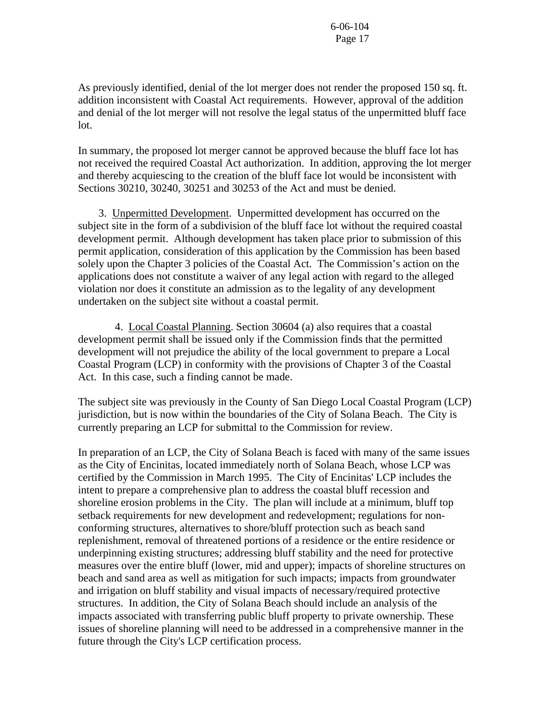As previously identified, denial of the lot merger does not render the proposed 150 sq. ft. addition inconsistent with Coastal Act requirements. However, approval of the addition and denial of the lot merger will not resolve the legal status of the unpermitted bluff face lot.

In summary, the proposed lot merger cannot be approved because the bluff face lot has not received the required Coastal Act authorization. In addition, approving the lot merger and thereby acquiescing to the creation of the bluff face lot would be inconsistent with Sections 30210, 30240, 30251 and 30253 of the Act and must be denied.

 3. Unpermitted Development. Unpermitted development has occurred on the subject site in the form of a subdivision of the bluff face lot without the required coastal development permit. Although development has taken place prior to submission of this permit application, consideration of this application by the Commission has been based solely upon the Chapter 3 policies of the Coastal Act. The Commission's action on the applications does not constitute a waiver of any legal action with regard to the alleged violation nor does it constitute an admission as to the legality of any development undertaken on the subject site without a coastal permit.

 4. Local Coastal Planning. Section 30604 (a) also requires that a coastal development permit shall be issued only if the Commission finds that the permitted development will not prejudice the ability of the local government to prepare a Local Coastal Program (LCP) in conformity with the provisions of Chapter 3 of the Coastal Act. In this case, such a finding cannot be made.

The subject site was previously in the County of San Diego Local Coastal Program (LCP) jurisdiction, but is now within the boundaries of the City of Solana Beach. The City is currently preparing an LCP for submittal to the Commission for review.

In preparation of an LCP, the City of Solana Beach is faced with many of the same issues as the City of Encinitas, located immediately north of Solana Beach, whose LCP was certified by the Commission in March 1995. The City of Encinitas' LCP includes the intent to prepare a comprehensive plan to address the coastal bluff recession and shoreline erosion problems in the City. The plan will include at a minimum, bluff top setback requirements for new development and redevelopment; regulations for nonconforming structures, alternatives to shore/bluff protection such as beach sand replenishment, removal of threatened portions of a residence or the entire residence or underpinning existing structures; addressing bluff stability and the need for protective measures over the entire bluff (lower, mid and upper); impacts of shoreline structures on beach and sand area as well as mitigation for such impacts; impacts from groundwater and irrigation on bluff stability and visual impacts of necessary/required protective structures. In addition, the City of Solana Beach should include an analysis of the impacts associated with transferring public bluff property to private ownership. These issues of shoreline planning will need to be addressed in a comprehensive manner in the future through the City's LCP certification process.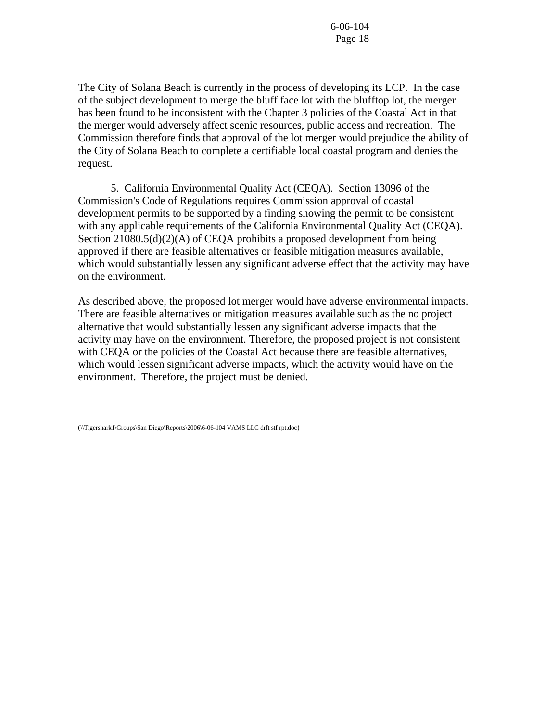The City of Solana Beach is currently in the process of developing its LCP. In the case of the subject development to merge the bluff face lot with the blufftop lot, the merger has been found to be inconsistent with the Chapter 3 policies of the Coastal Act in that the merger would adversely affect scenic resources, public access and recreation. The Commission therefore finds that approval of the lot merger would prejudice the ability of the City of Solana Beach to complete a certifiable local coastal program and denies the request.

 5. California Environmental Quality Act (CEQA). Section 13096 of the Commission's Code of Regulations requires Commission approval of coastal development permits to be supported by a finding showing the permit to be consistent with any applicable requirements of the California Environmental Quality Act (CEQA). Section 21080.5(d)(2)(A) of CEQA prohibits a proposed development from being approved if there are feasible alternatives or feasible mitigation measures available, which would substantially lessen any significant adverse effect that the activity may have on the environment.

As described above, the proposed lot merger would have adverse environmental impacts. There are feasible alternatives or mitigation measures available such as the no project alternative that would substantially lessen any significant adverse impacts that the activity may have on the environment. Therefore, the proposed project is not consistent with CEQA or the policies of the Coastal Act because there are feasible alternatives, which would lessen significant adverse impacts, which the activity would have on the environment. Therefore, the project must be denied.

(\\Tigershark1\Groups\San Diego\Reports\2006\6-06-104 VAMS LLC drft stf rpt.doc)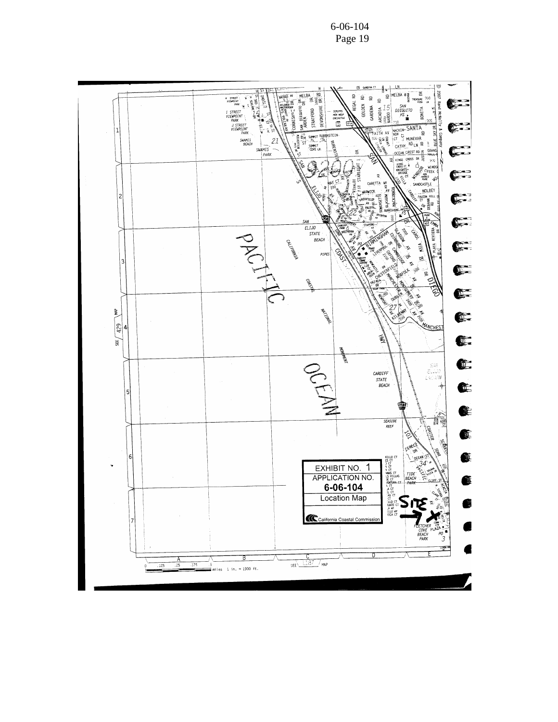6-06-104 Page 19

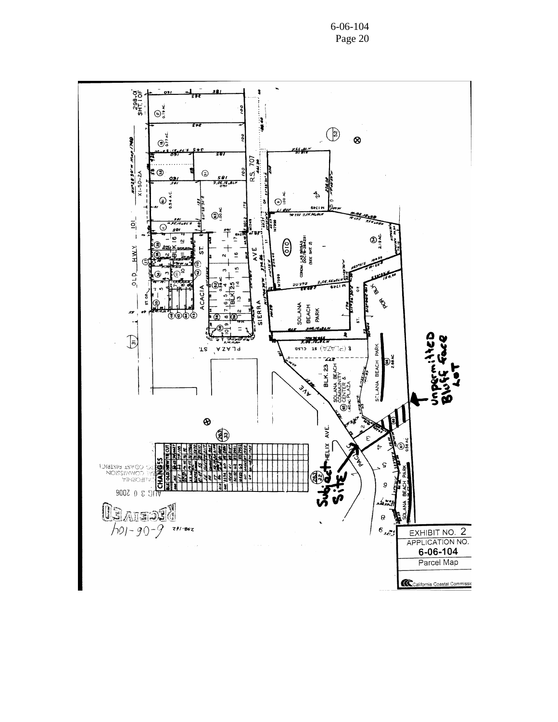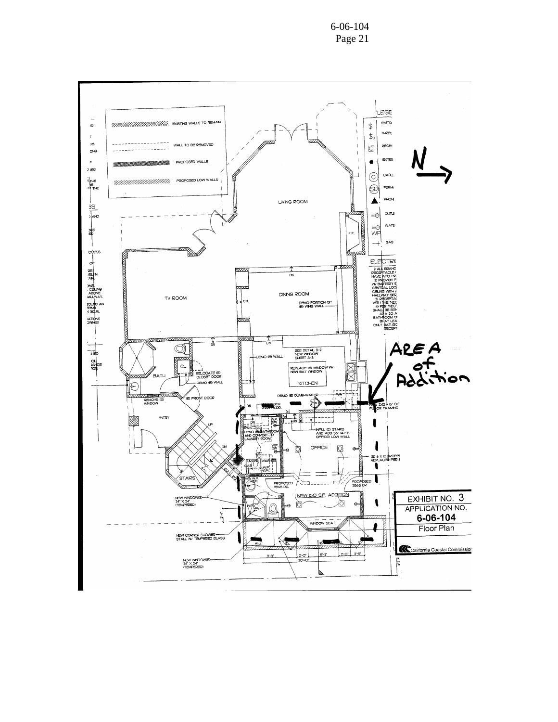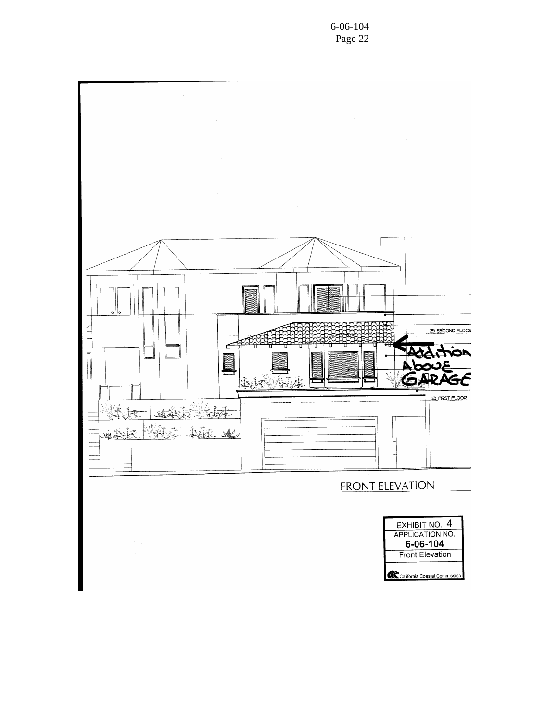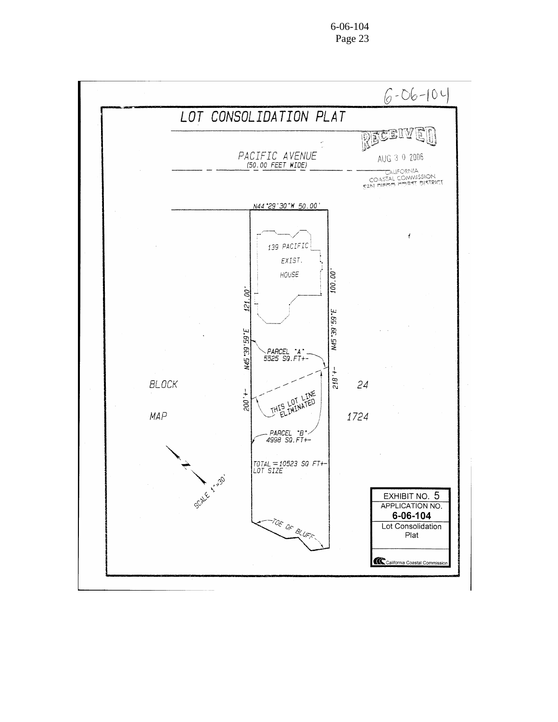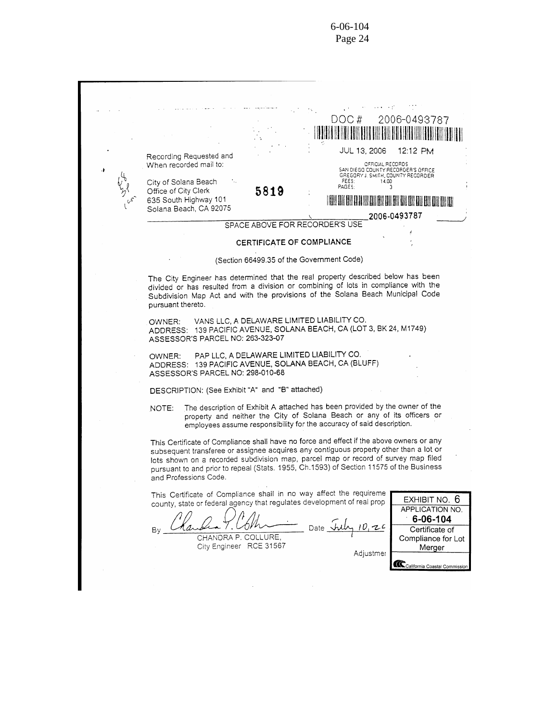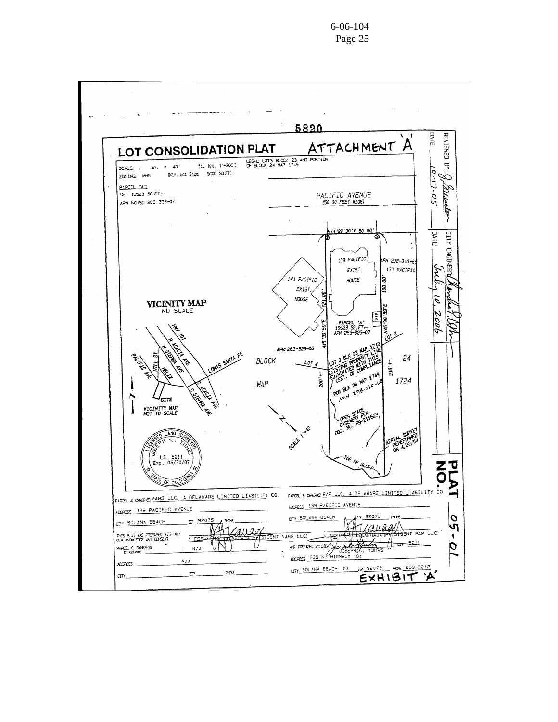